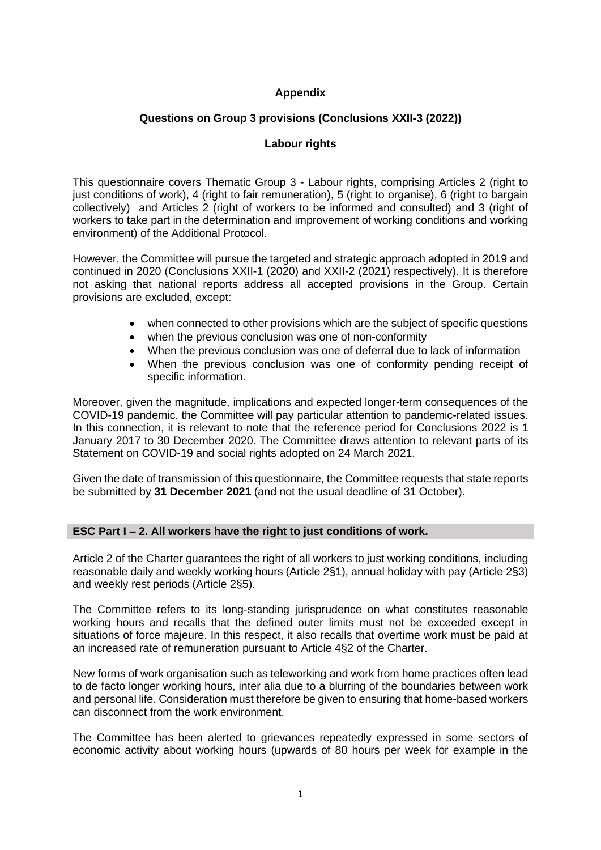## **Appendix**

### **Questions on Group 3 provisions (Conclusions XXII-3 (2022))**

### **Labour rights**

This questionnaire covers Thematic Group 3 - Labour rights, comprising Articles 2 (right to just conditions of work), 4 (right to fair remuneration), 5 (right to organise), 6 (right to bargain collectively) and Articles 2 (right of workers to be informed and consulted) and 3 (right of workers to take part in the determination and improvement of working conditions and working environment) of the Additional Protocol.

However, the Committee will pursue the targeted and strategic approach adopted in 2019 and continued in 2020 (Conclusions XXII-1 (2020) and XXII-2 (2021) respectively). It is therefore not asking that national reports address all accepted provisions in the Group. Certain provisions are excluded, except:

- when connected to other provisions which are the subject of specific questions
- when the previous conclusion was one of non-conformity
- When the previous conclusion was one of deferral due to lack of information
- When the previous conclusion was one of conformity pending receipt of specific information.

Moreover, given the magnitude, implications and expected longer-term consequences of the COVID-19 pandemic, the Committee will pay particular attention to pandemic-related issues. In this connection, it is relevant to note that the reference period for Conclusions 2022 is 1 January 2017 to 30 December 2020. The Committee draws attention to relevant parts of its Statement on COVID-19 and social rights adopted on 24 March 2021.

Given the date of transmission of this questionnaire, the Committee requests that state reports be submitted by **31 December 2021** (and not the usual deadline of 31 October).

### **ESC Part I – 2. All workers have the right to just conditions of work.**

Article 2 of the Charter guarantees the right of all workers to just working conditions, including reasonable daily and weekly working hours (Article 2§1), annual holiday with pay (Article 2§3) and weekly rest periods (Article 2§5).

The Committee refers to its long-standing jurisprudence on what constitutes reasonable working hours and recalls that the defined outer limits must not be exceeded except in situations of force majeure. In this respect, it also recalls that overtime work must be paid at an increased rate of remuneration pursuant to Article 4§2 of the Charter.

New forms of work organisation such as teleworking and work from home practices often lead to de facto longer working hours, inter alia due to a blurring of the boundaries between work and personal life. Consideration must therefore be given to ensuring that home-based workers can disconnect from the work environment.

The Committee has been alerted to grievances repeatedly expressed in some sectors of economic activity about working hours (upwards of 80 hours per week for example in the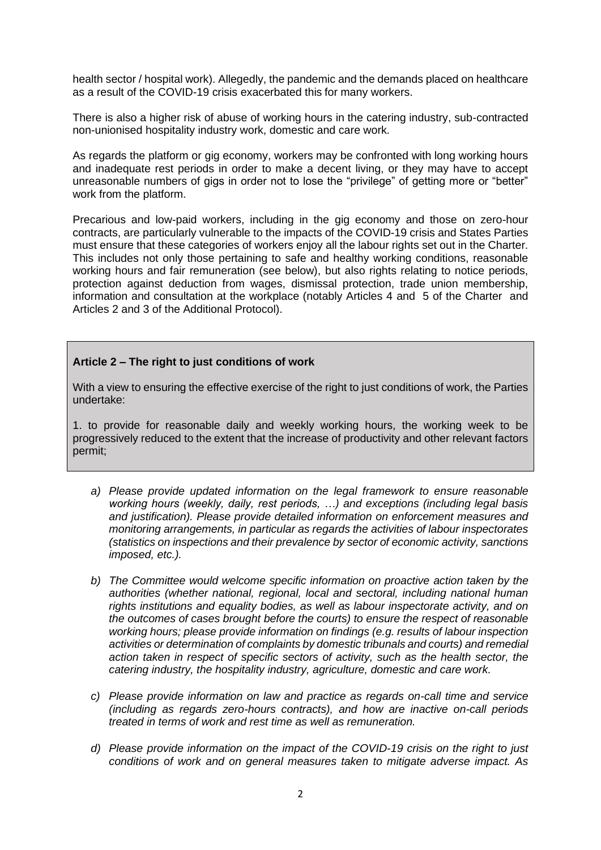health sector / hospital work). Allegedly, the pandemic and the demands placed on healthcare as a result of the COVID-19 crisis exacerbated this for many workers.

There is also a higher risk of abuse of working hours in the catering industry, sub-contracted non-unionised hospitality industry work, domestic and care work.

As regards the platform or gig economy, workers may be confronted with long working hours and inadequate rest periods in order to make a decent living, or they may have to accept unreasonable numbers of gigs in order not to lose the "privilege" of getting more or "better" work from the platform.

Precarious and low-paid workers, including in the gig economy and those on zero-hour contracts, are particularly vulnerable to the impacts of the COVID-19 crisis and States Parties must ensure that these categories of workers enjoy all the labour rights set out in the Charter. This includes not only those pertaining to safe and healthy working conditions, reasonable working hours and fair remuneration (see below), but also rights relating to notice periods, protection against deduction from wages, dismissal protection, trade union membership, information and consultation at the workplace (notably Articles 4 and 5 of the Charter and Articles 2 and 3 of the Additional Protocol).

#### **Article 2 – The right to just conditions of work**

With a view to ensuring the effective exercise of the right to just conditions of work, the Parties undertake:

1. to provide for reasonable daily and weekly working hours, the working week to be progressively reduced to the extent that the increase of productivity and other relevant factors permit;

- *a) Please provide updated information on the legal framework to ensure reasonable working hours (weekly, daily, rest periods, …) and exceptions (including legal basis and justification). Please provide detailed information on enforcement measures and monitoring arrangements, in particular as regards the activities of labour inspectorates (statistics on inspections and their prevalence by sector of economic activity, sanctions imposed, etc.).*
- *b) The Committee would welcome specific information on proactive action taken by the authorities (whether national, regional, local and sectoral, including national human rights institutions and equality bodies, as well as labour inspectorate activity, and on the outcomes of cases brought before the courts) to ensure the respect of reasonable working hours; please provide information on findings (e.g. results of labour inspection activities or determination of complaints by domestic tribunals and courts) and remedial action taken in respect of specific sectors of activity, such as the health sector, the catering industry, the hospitality industry, agriculture, domestic and care work.*
- *c) Please provide information on law and practice as regards on-call time and service (including as regards zero-hours contracts), and how are inactive on-call periods treated in terms of work and rest time as well as remuneration.*
- *d) Please provide information on the impact of the COVID-19 crisis on the right to just conditions of work and on general measures taken to mitigate adverse impact. As*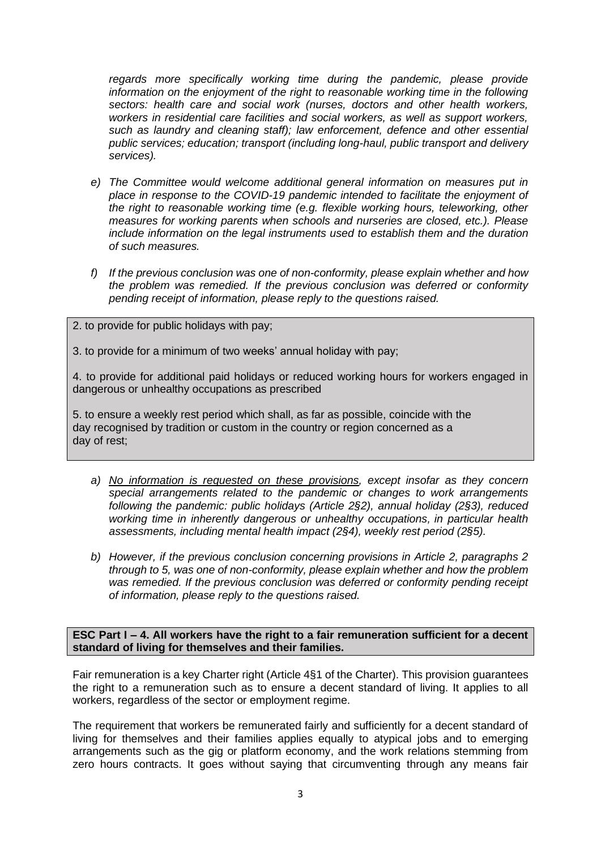*regards more specifically working time during the pandemic, please provide information on the enjoyment of the right to reasonable working time in the following sectors: health care and social work (nurses, doctors and other health workers, workers in residential care facilities and social workers, as well as support workers, such as laundry and cleaning staff); law enforcement, defence and other essential public services; education; transport (including long-haul, public transport and delivery services).*

- *e) The Committee would welcome additional general information on measures put in place in response to the COVID-19 pandemic intended to facilitate the enjoyment of the right to reasonable working time (e.g. flexible working hours, teleworking, other measures for working parents when schools and nurseries are closed, etc.). Please include information on the legal instruments used to establish them and the duration of such measures.*
- *f) If the previous conclusion was one of non-conformity, please explain whether and how the problem was remedied. If the previous conclusion was deferred or conformity pending receipt of information, please reply to the questions raised.*
- 2. to provide for public holidays with pay;

3. to provide for a minimum of two weeks' annual holiday with pay;

4. to provide for additional paid holidays or reduced working hours for workers engaged in dangerous or unhealthy occupations as prescribed

5. to ensure a weekly rest period which shall, as far as possible, coincide with the day recognised by tradition or custom in the country or region concerned as a day of rest;

- *a) No information is requested on these provisions, except insofar as they concern special arrangements related to the pandemic or changes to work arrangements following the pandemic: public holidays (Article 2§2), annual holiday (2§3), reduced working time in inherently dangerous or unhealthy occupations, in particular health assessments, including mental health impact (2§4), weekly rest period (2§5).*
- *b) However, if the previous conclusion concerning provisions in Article 2, paragraphs 2 through to 5, was one of non-conformity, please explain whether and how the problem was remedied. If the previous conclusion was deferred or conformity pending receipt of information, please reply to the questions raised.*

**ESC Part I – 4. All workers have the right to a fair remuneration sufficient for a decent standard of living for themselves and their families.**

Fair remuneration is a key Charter right (Article 4§1 of the Charter). This provision guarantees the right to a remuneration such as to ensure a decent standard of living. It applies to all workers, regardless of the sector or employment regime.

The requirement that workers be remunerated fairly and sufficiently for a decent standard of living for themselves and their families applies equally to atypical jobs and to emerging arrangements such as the gig or platform economy, and the work relations stemming from zero hours contracts. It goes without saying that circumventing through any means fair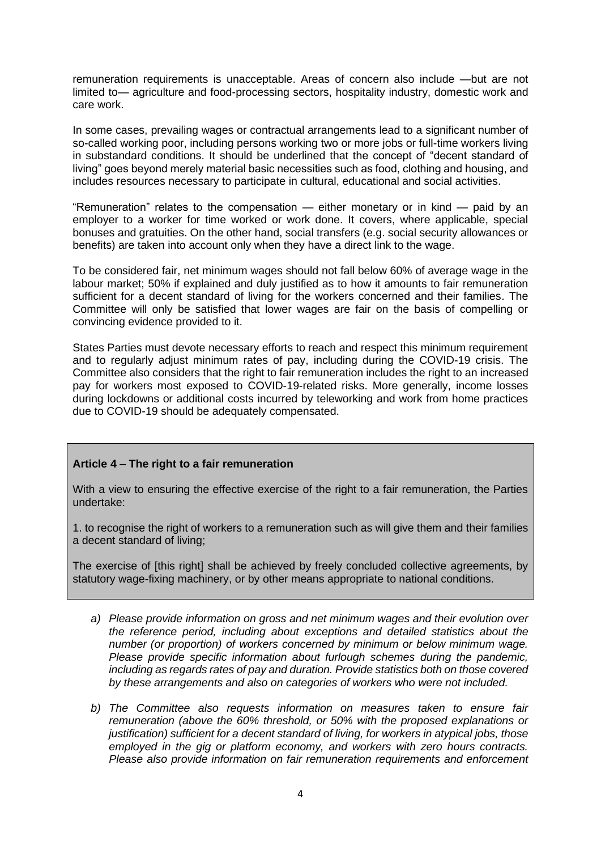remuneration requirements is unacceptable. Areas of concern also include —but are not limited to— agriculture and food-processing sectors, hospitality industry, domestic work and care work.

In some cases, prevailing wages or contractual arrangements lead to a significant number of so-called working poor, including persons working two or more jobs or full-time workers living in substandard conditions. It should be underlined that the concept of "decent standard of living" goes beyond merely material basic necessities such as food, clothing and housing, and includes resources necessary to participate in cultural, educational and social activities.

"Remuneration" relates to the compensation — either monetary or in kind — paid by an employer to a worker for time worked or work done. It covers, where applicable, special bonuses and gratuities. On the other hand, social transfers (e.g. social security allowances or benefits) are taken into account only when they have a direct link to the wage.

To be considered fair, net minimum wages should not fall below 60% of average wage in the labour market; 50% if explained and duly justified as to how it amounts to fair remuneration sufficient for a decent standard of living for the workers concerned and their families. The Committee will only be satisfied that lower wages are fair on the basis of compelling or convincing evidence provided to it.

States Parties must devote necessary efforts to reach and respect this minimum requirement and to regularly adjust minimum rates of pay, including during the COVID-19 crisis. The Committee also considers that the right to fair remuneration includes the right to an increased pay for workers most exposed to COVID-19-related risks. More generally, income losses during lockdowns or additional costs incurred by teleworking and work from home practices due to COVID-19 should be adequately compensated.

## **Article 4 – The right to a fair remuneration**

With a view to ensuring the effective exercise of the right to a fair remuneration, the Parties undertake:

1. to recognise the right of workers to a remuneration such as will give them and their families a decent standard of living;

The exercise of [this right] shall be achieved by freely concluded collective agreements, by statutory wage-fixing machinery, or by other means appropriate to national conditions.

- *a) Please provide information on gross and net minimum wages and their evolution over the reference period, including about exceptions and detailed statistics about the number (or proportion) of workers concerned by minimum or below minimum wage. Please provide specific information about furlough schemes during the pandemic, including as regards rates of pay and duration. Provide statistics both on those covered by these arrangements and also on categories of workers who were not included.*
- *b) The Committee also requests information on measures taken to ensure fair remuneration (above the 60% threshold, or 50% with the proposed explanations or justification) sufficient for a decent standard of living, for workers in atypical jobs, those employed in the gig or platform economy, and workers with zero hours contracts. Please also provide information on fair remuneration requirements and enforcement*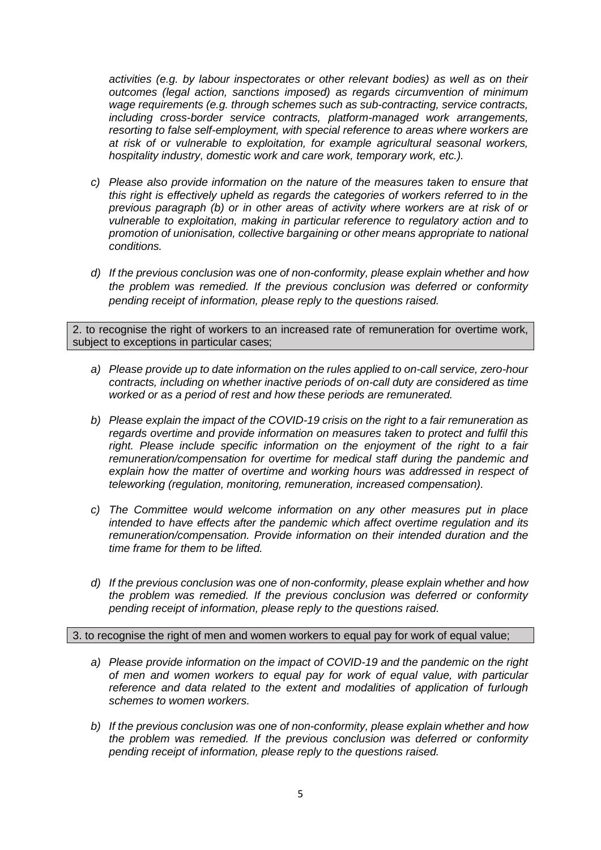*activities (e.g. by labour inspectorates or other relevant bodies) as well as on their outcomes (legal action, sanctions imposed) as regards circumvention of minimum wage requirements (e.g. through schemes such as sub-contracting, service contracts, including cross-border service contracts, platform-managed work arrangements, resorting to false self-employment, with special reference to areas where workers are at risk of or vulnerable to exploitation, for example agricultural seasonal workers, hospitality industry, domestic work and care work, temporary work, etc.).*

- *c) Please also provide information on the nature of the measures taken to ensure that this right is effectively upheld as regards the categories of workers referred to in the previous paragraph (b) or in other areas of activity where workers are at risk of or vulnerable to exploitation, making in particular reference to regulatory action and to promotion of unionisation, collective bargaining or other means appropriate to national conditions.*
- *d) If the previous conclusion was one of non-conformity, please explain whether and how the problem was remedied. If the previous conclusion was deferred or conformity pending receipt of information, please reply to the questions raised.*

2. to recognise the right of workers to an increased rate of remuneration for overtime work, subject to exceptions in particular cases;

- *a) Please provide up to date information on the rules applied to on-call service, zero-hour contracts, including on whether inactive periods of on-call duty are considered as time worked or as a period of rest and how these periods are remunerated.*
- *b) Please explain the impact of the COVID-19 crisis on the right to a fair remuneration as regards overtime and provide information on measures taken to protect and fulfil this right. Please include specific information on the enjoyment of the right to a fair remuneration/compensation for overtime for medical staff during the pandemic and explain how the matter of overtime and working hours was addressed in respect of teleworking (regulation, monitoring, remuneration, increased compensation).*
- *c) The Committee would welcome information on any other measures put in place intended to have effects after the pandemic which affect overtime regulation and its remuneration/compensation. Provide information on their intended duration and the time frame for them to be lifted.*
- *d) If the previous conclusion was one of non-conformity, please explain whether and how the problem was remedied. If the previous conclusion was deferred or conformity pending receipt of information, please reply to the questions raised.*

3. to recognise the right of men and women workers to equal pay for work of equal value;

- *a) Please provide information on the impact of COVID-19 and the pandemic on the right of men and women workers to equal pay for work of equal value, with particular reference and data related to the extent and modalities of application of furlough schemes to women workers.*
- *b) If the previous conclusion was one of non-conformity, please explain whether and how the problem was remedied. If the previous conclusion was deferred or conformity pending receipt of information, please reply to the questions raised.*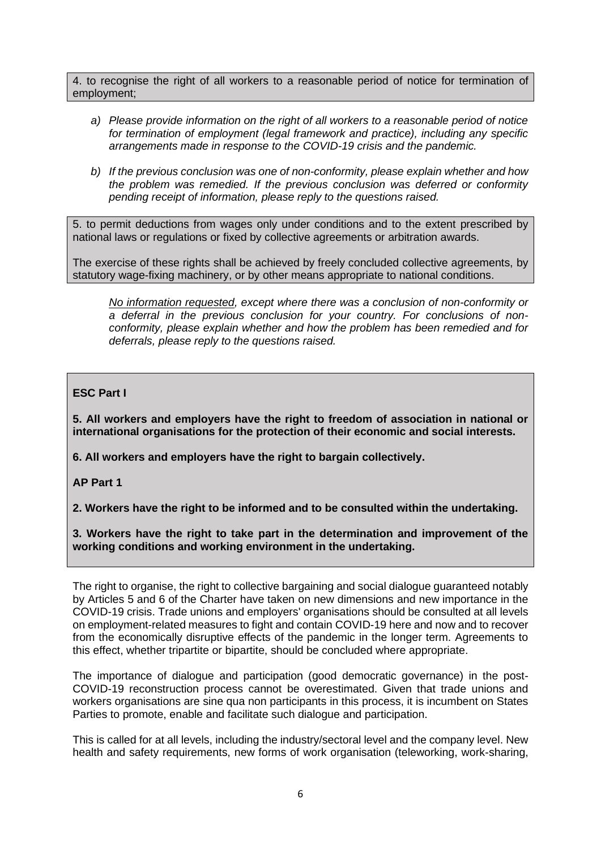4. to recognise the right of all workers to a reasonable period of notice for termination of employment;

- *a) Please provide information on the right of all workers to a reasonable period of notice for termination of employment (legal framework and practice), including any specific arrangements made in response to the COVID-19 crisis and the pandemic.*
- *b) If the previous conclusion was one of non-conformity, please explain whether and how the problem was remedied. If the previous conclusion was deferred or conformity pending receipt of information, please reply to the questions raised.*

5. to permit deductions from wages only under conditions and to the extent prescribed by national laws or regulations or fixed by collective agreements or arbitration awards.

The exercise of these rights shall be achieved by freely concluded collective agreements, by statutory wage-fixing machinery, or by other means appropriate to national conditions.

*No information requested, except where there was a conclusion of non-conformity or a deferral in the previous conclusion for your country. For conclusions of nonconformity, please explain whether and how the problem has been remedied and for deferrals, please reply to the questions raised.*

# **ESC Part I**

**5. All workers and employers have the right to freedom of association in national or international organisations for the protection of their economic and social interests.**

**6. All workers and employers have the right to bargain collectively.**

**AP Part 1**

**2. Workers have the right to be informed and to be consulted within the undertaking.**

**3. Workers have the right to take part in the determination and improvement of the working conditions and working environment in the undertaking.**

The right to organise, the right to collective bargaining and social dialogue guaranteed notably by Articles 5 and 6 of the Charter have taken on new dimensions and new importance in the COVID-19 crisis. Trade unions and employers' organisations should be consulted at all levels on employment-related measures to fight and contain COVID-19 here and now and to recover from the economically disruptive effects of the pandemic in the longer term. Agreements to this effect, whether tripartite or bipartite, should be concluded where appropriate.

The importance of dialogue and participation (good democratic governance) in the post-COVID-19 reconstruction process cannot be overestimated. Given that trade unions and workers organisations are sine qua non participants in this process, it is incumbent on States Parties to promote, enable and facilitate such dialogue and participation.

This is called for at all levels, including the industry/sectoral level and the company level. New health and safety requirements, new forms of work organisation (teleworking, work-sharing,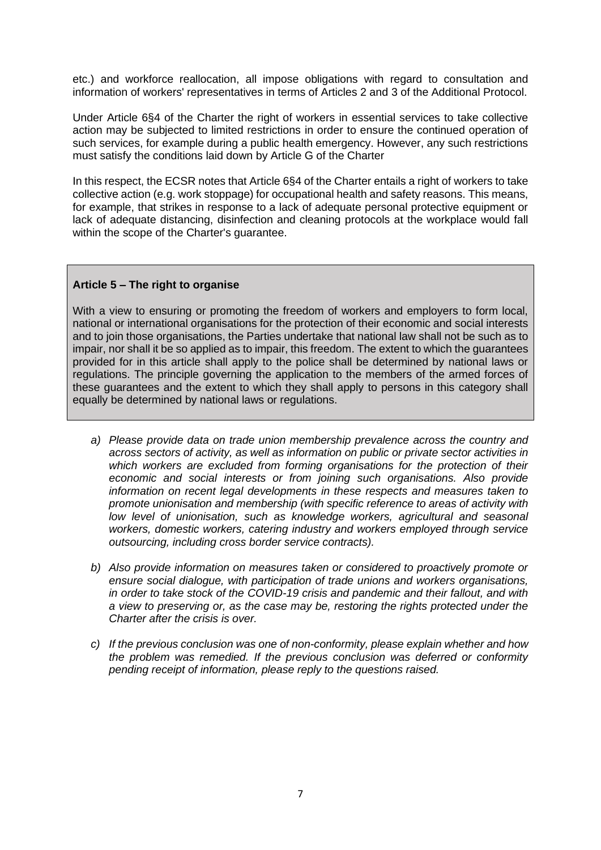etc.) and workforce reallocation, all impose obligations with regard to consultation and information of workers' representatives in terms of Articles 2 and 3 of the Additional Protocol.

Under Article 6§4 of the Charter the right of workers in essential services to take collective action may be subjected to limited restrictions in order to ensure the continued operation of such services, for example during a public health emergency. However, any such restrictions must satisfy the conditions laid down by Article G of the Charter

In this respect, the ECSR notes that Article 6§4 of the Charter entails a right of workers to take collective action (e.g. work stoppage) for occupational health and safety reasons. This means, for example, that strikes in response to a lack of adequate personal protective equipment or lack of adequate distancing, disinfection and cleaning protocols at the workplace would fall within the scope of the Charter's guarantee.

### **Article 5 – The right to organise**

With a view to ensuring or promoting the freedom of workers and employers to form local, national or international organisations for the protection of their economic and social interests and to join those organisations, the Parties undertake that national law shall not be such as to impair, nor shall it be so applied as to impair, this freedom. The extent to which the guarantees provided for in this article shall apply to the police shall be determined by national laws or regulations. The principle governing the application to the members of the armed forces of these guarantees and the extent to which they shall apply to persons in this category shall equally be determined by national laws or regulations.

- *a) Please provide data on trade union membership prevalence across the country and across sectors of activity, as well as information on public or private sector activities in which workers are excluded from forming organisations for the protection of their economic and social interests or from joining such organisations. Also provide information on recent legal developments in these respects and measures taken to promote unionisation and membership (with specific reference to areas of activity with low level of unionisation, such as knowledge workers, agricultural and seasonal workers, domestic workers, catering industry and workers employed through service outsourcing, including cross border service contracts).*
- *b) Also provide information on measures taken or considered to proactively promote or ensure social dialogue, with participation of trade unions and workers organisations, in order to take stock of the COVID-19 crisis and pandemic and their fallout, and with a view to preserving or, as the case may be, restoring the rights protected under the Charter after the crisis is over.*
- *c) If the previous conclusion was one of non-conformity, please explain whether and how the problem was remedied. If the previous conclusion was deferred or conformity pending receipt of information, please reply to the questions raised.*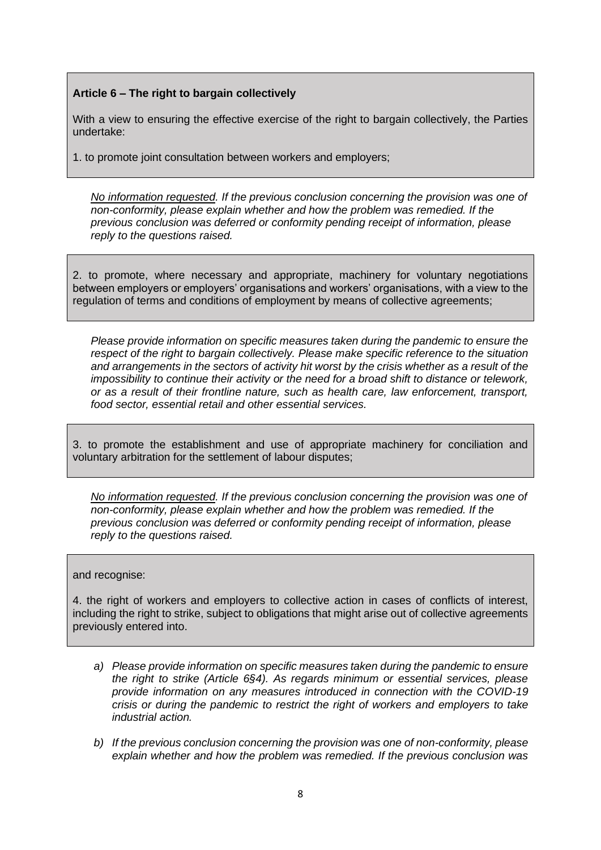## **Article 6 – The right to bargain collectively**

With a view to ensuring the effective exercise of the right to bargain collectively, the Parties undertake:

1. to promote joint consultation between workers and employers;

*No information requested. If the previous conclusion concerning the provision was one of non-conformity, please explain whether and how the problem was remedied. If the previous conclusion was deferred or conformity pending receipt of information, please reply to the questions raised.*

2. to promote, where necessary and appropriate, machinery for voluntary negotiations between employers or employers' organisations and workers' organisations, with a view to the regulation of terms and conditions of employment by means of collective agreements;

*Please provide information on specific measures taken during the pandemic to ensure the respect of the right to bargain collectively. Please make specific reference to the situation and arrangements in the sectors of activity hit worst by the crisis whether as a result of the impossibility to continue their activity or the need for a broad shift to distance or telework, or as a result of their frontline nature, such as health care, law enforcement, transport, food sector, essential retail and other essential services.*

3. to promote the establishment and use of appropriate machinery for conciliation and voluntary arbitration for the settlement of labour disputes;

*No information requested. If the previous conclusion concerning the provision was one of non-conformity, please explain whether and how the problem was remedied. If the previous conclusion was deferred or conformity pending receipt of information, please reply to the questions raised.*

#### and recognise:

4. the right of workers and employers to collective action in cases of conflicts of interest, including the right to strike, subject to obligations that might arise out of collective agreements previously entered into.

- *a) Please provide information on specific measures taken during the pandemic to ensure the right to strike (Article 6§4). As regards minimum or essential services, please provide information on any measures introduced in connection with the COVID-19 crisis or during the pandemic to restrict the right of workers and employers to take industrial action.*
- *b) If the previous conclusion concerning the provision was one of non-conformity, please explain whether and how the problem was remedied. If the previous conclusion was*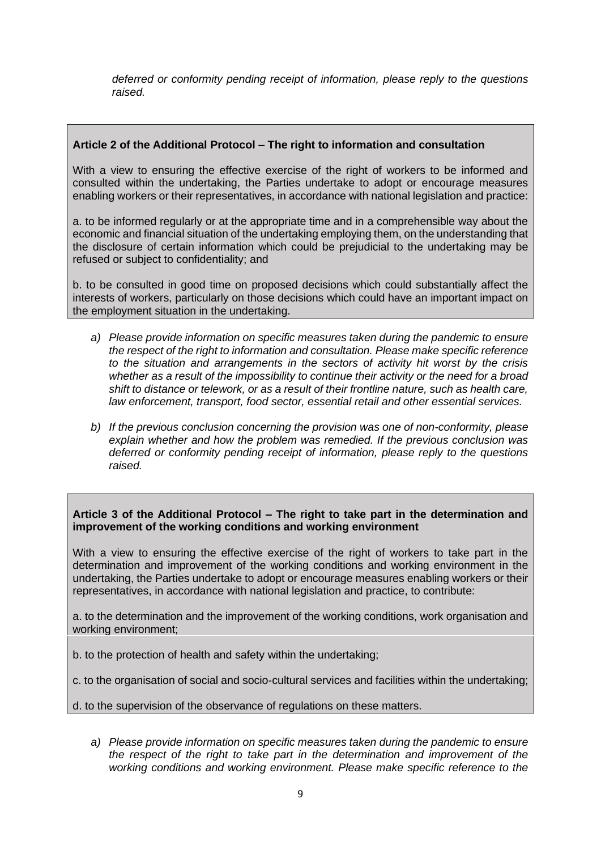*deferred or conformity pending receipt of information, please reply to the questions raised.*

### **Article 2 of the Additional Protocol – The right to information and consultation**

With a view to ensuring the effective exercise of the right of workers to be informed and consulted within the undertaking, the Parties undertake to adopt or encourage measures enabling workers or their representatives, in accordance with national legislation and practice:

a. to be informed regularly or at the appropriate time and in a comprehensible way about the economic and financial situation of the undertaking employing them, on the understanding that the disclosure of certain information which could be prejudicial to the undertaking may be refused or subject to confidentiality; and

b. to be consulted in good time on proposed decisions which could substantially affect the interests of workers, particularly on those decisions which could have an important impact on the employment situation in the undertaking.

- *a) Please provide information on specific measures taken during the pandemic to ensure the respect of the right to information and consultation. Please make specific reference to the situation and arrangements in the sectors of activity hit worst by the crisis whether as a result of the impossibility to continue their activity or the need for a broad shift to distance or telework, or as a result of their frontline nature, such as health care, law enforcement, transport, food sector, essential retail and other essential services.*
- *b) If the previous conclusion concerning the provision was one of non-conformity, please explain whether and how the problem was remedied. If the previous conclusion was deferred or conformity pending receipt of information, please reply to the questions raised.*

### **Article 3 of the Additional Protocol – The right to take part in the determination and improvement of the working conditions and working environment**

With a view to ensuring the effective exercise of the right of workers to take part in the determination and improvement of the working conditions and working environment in the undertaking, the Parties undertake to adopt or encourage measures enabling workers or their representatives, in accordance with national legislation and practice, to contribute:

a. to the determination and the improvement of the working conditions, work organisation and working environment;

b. to the protection of health and safety within the undertaking;

c. to the organisation of social and socio-cultural services and facilities within the undertaking;

d. to the supervision of the observance of regulations on these matters.

*a) Please provide information on specific measures taken during the pandemic to ensure the respect of the right to take part in the determination and improvement of the working conditions and working environment. Please make specific reference to the*